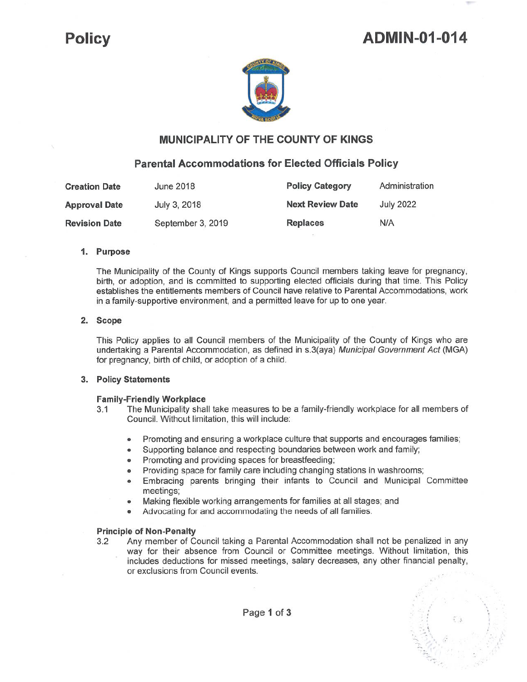## **ADMIN-01-014**

,-



## **MUNICIPALITY OF THE COUNTY OF KINGS**

### **Parental Accommodations for Elected Officials Policy**

| <b>Creation Date</b> | June 2018         | <b>Policy Category</b>  | Administration   |
|----------------------|-------------------|-------------------------|------------------|
| <b>Approval Date</b> | July 3, 2018      | <b>Next Review Date</b> | <b>July 2022</b> |
| <b>Revision Date</b> | September 3, 2019 | <b>Replaces</b>         | N/A              |

#### **1. Purpose**

The Municipality of the County of Kings supports Council members taking leave for pregnancy, birth, or adoption, and is committed to supporting elected officials during that time. This Policy establishes the entitlements members of Council have relative to Parental Accommodations, work in a family-supportive environment, and a permitted leave for up to one year.

#### **2. Scope**

This Policy applies to all Council members of the Municipality of the County of Kings who are undertaking a Parental Accommodation, as defined in s.3(aya) Municipal Government Act (MGA) for pregnancy, birth of child, or adoption of a child.

#### **3. Policy Statements**

#### **Family-Friendly Workplace**

- 3.1 The Municipality shall take measures to be a family-friendly workplace for all members of Council. Without limitation, this will include:
	- Promoting and ensuring a workplace culture that supports and encourages families;
	- Supporting balance and respecting boundaries between work and family;
	- Promoting and providing spaces for breastfeeding;
	- Providing space for family care including changing stations in washrooms;
	- Embracing parents bringing their infants to Council and Municipal Committee meetings;
	- Making flexible working arrangements for families at all stages; and
	- Advocating for and accommodating the needs of all families.

#### **Principle of Non-Penalty**

3.2 Any member of Council taking a Parental Accommodation shall not be penalized in any way for their absence from Council or Committee meetings. Without limitation, this includes deductions for missed meetings, salary decreases, any other financial penalty, or exclusions from Council events.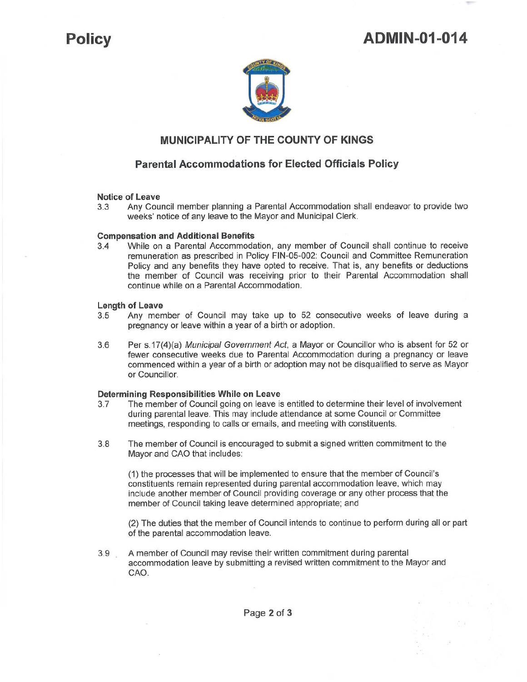# **Policy ADMIN-01-014**



## **MUNICIPALITY OF THE COUNTY OF KINGS**

## **Parental Accommodations for Elected Officials Policy**

#### **Notice of Leave**

3.3 Any Council member planning a Parental Accommodation shall endeavor to provide two weeks' notice of any leave to the Mayor and Municipal Clerk.

#### **Compensation and Additional Benefits**

3.4 While on a Parental Accommodation, any member of Council shall continue to receive remuneration as prescribed in Policy FIN-05-002: Council and Committee Remuneration Policy and any benefits they have opted to receive. That is, any benefits or deductions the member of Council was receiving prior to their Parental Accommodation shall continue while on a Parental Accommodation.

#### **Length of Leave**

- 3.5 Any member of Council may take up to 52 consecutive weeks of leave during a pregnancy or leave within a year of a birth or adoption.
- 3.6 Per s.17(4)(a) Municipal Government Act, a Mayor or Councillor who is absent for 52 or fewer consecutive weeks due to Parental Accommodation during a pregnancy or leave commenced within a year of a birth or adoption may not be disqualified to serve as Mayor or Councillor.

# **Determining Responsibilities While on Leave**

- The member of Council going on leave is entitled to determine their level of involvement during parental leave. This may include attendance at some Council or Committee meetings, responding to calls or emails, and meeting with constituents.
- 3.8 The member of Council is encouraged to submit a signed written commitment to the Mayor and CAO that includes:

(1) the processes that will be implemented to ensure that the member of Council's constituents remain represented during parental accommodation leave, which may include another member of Council providing coverage or any other process that the member of Council taking leave determined appropriate; and

(2) The duties that the member of Council intends to continue to perform during all or part of the parental accommodation leave.

3.9 A member of Council may revise their written commitment during parental accommodation leave by submitting a revised written commitment to the Mayor and CAO.